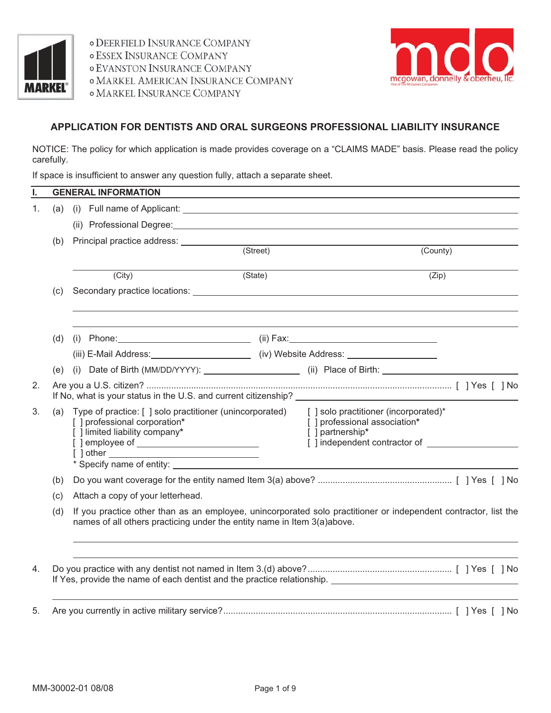

*o DEERFIELD INSURANCE COMPANY* **o ESSEX INSURANCE COMPANY o EVANSTON INSURANCE COMPANY O MARKEL AMERICAN INSURANCE COMPANY OMARKEL INSURANCE COMPANY** 



# **APPLICATION FOR DENTISTS AND ORAL SURGEONS PROFESSIONAL LIABILITY INSURANCE**

NOTICE: The policy for which application is made provides coverage on a "CLAIMS MADE" basis. Please read the policy carefully.

If space is insufficient to answer any question fully, attach a separate sheet.

| ı. |     | <b>GENERAL INFORMATION</b>                                                                                                                                                                 |                                                                                                                                                                                                                                |          |  |  |  |
|----|-----|--------------------------------------------------------------------------------------------------------------------------------------------------------------------------------------------|--------------------------------------------------------------------------------------------------------------------------------------------------------------------------------------------------------------------------------|----------|--|--|--|
| 1. | (a) |                                                                                                                                                                                            |                                                                                                                                                                                                                                |          |  |  |  |
|    |     |                                                                                                                                                                                            | (ii) Professional Degree: Call Contract Contract Contract Contract Contract Contract Contract Contract Contract Contract Contract Contract Contract Contract Contract Contract Contract Contract Contract Contract Contract Co |          |  |  |  |
|    | (b) | Principal practice address: (Street)                                                                                                                                                       |                                                                                                                                                                                                                                |          |  |  |  |
|    |     |                                                                                                                                                                                            |                                                                                                                                                                                                                                | (County) |  |  |  |
|    |     | (City)                                                                                                                                                                                     | (State)                                                                                                                                                                                                                        | (Zip)    |  |  |  |
|    | (c) |                                                                                                                                                                                            |                                                                                                                                                                                                                                |          |  |  |  |
|    | (d) |                                                                                                                                                                                            |                                                                                                                                                                                                                                |          |  |  |  |
|    |     |                                                                                                                                                                                            | (iii) E-Mail Address: __________________________(iv) Website Address: ______________________________                                                                                                                           |          |  |  |  |
|    | (e) |                                                                                                                                                                                            |                                                                                                                                                                                                                                |          |  |  |  |
| 2. |     |                                                                                                                                                                                            |                                                                                                                                                                                                                                |          |  |  |  |
| 3. | (a) | Type of practice: [ ] solo practitioner (unincorporated)<br>[] professional corporation*<br>[ ] limited liability company*                                                                 | [] solo practitioner (incorporated)*<br>[ ] professional association*<br>[ ] partnership*                                                                                                                                      |          |  |  |  |
|    | (b) |                                                                                                                                                                                            |                                                                                                                                                                                                                                |          |  |  |  |
|    | (c) | Attach a copy of your letterhead.                                                                                                                                                          |                                                                                                                                                                                                                                |          |  |  |  |
|    | (d) | If you practice other than as an employee, unincorporated solo practitioner or independent contractor, list the<br>names of all others practicing under the entity name in Item 3(a)above. |                                                                                                                                                                                                                                |          |  |  |  |
| 4. |     |                                                                                                                                                                                            |                                                                                                                                                                                                                                |          |  |  |  |
| 5. |     |                                                                                                                                                                                            |                                                                                                                                                                                                                                |          |  |  |  |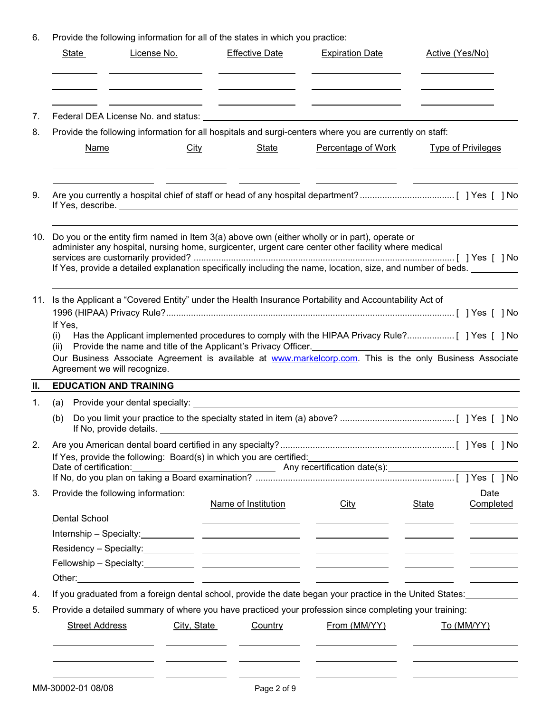6. Provide the following information for all of the states in which you practice:

| 7.       | Provide the following information for all hospitals and surgi-centers where you are currently on staff:<br><b>Name</b>                                                                                                                                                                                                  |             | <u> 1989 - Johann Barbara, martin a</u>                                |                                             |                                                                                                                                                                                                                                                      |                           |  |  |  |
|----------|-------------------------------------------------------------------------------------------------------------------------------------------------------------------------------------------------------------------------------------------------------------------------------------------------------------------------|-------------|------------------------------------------------------------------------|---------------------------------------------|------------------------------------------------------------------------------------------------------------------------------------------------------------------------------------------------------------------------------------------------------|---------------------------|--|--|--|
| 8.<br>9. |                                                                                                                                                                                                                                                                                                                         |             |                                                                        |                                             |                                                                                                                                                                                                                                                      |                           |  |  |  |
|          |                                                                                                                                                                                                                                                                                                                         |             |                                                                        |                                             |                                                                                                                                                                                                                                                      |                           |  |  |  |
|          |                                                                                                                                                                                                                                                                                                                         | City        | <b>State</b>                                                           | Percentage of Work                          |                                                                                                                                                                                                                                                      | <b>Type of Privileges</b> |  |  |  |
|          |                                                                                                                                                                                                                                                                                                                         |             |                                                                        |                                             |                                                                                                                                                                                                                                                      |                           |  |  |  |
|          | 10. Do you or the entity firm named in Item 3(a) above own (either wholly or in part), operate or<br>administer any hospital, nursing home, surgicenter, urgent care center other facility where medical<br>If Yes, provide a detailed explanation specifically including the name, location, size, and number of beds. |             |                                                                        |                                             |                                                                                                                                                                                                                                                      |                           |  |  |  |
|          | 11. Is the Applicant a "Covered Entity" under the Health Insurance Portability and Accountability Act of<br>If Yes,<br>(1)<br>(ii)<br>Our Business Associate Agreement is available at www.markelcorp.com. This is the only Business Associate<br>Agreement we will recognize.                                          |             | Provide the name and title of the Applicant's Privacy Officer.         |                                             |                                                                                                                                                                                                                                                      |                           |  |  |  |
| П.       | <b>EDUCATION AND TRAINING</b>                                                                                                                                                                                                                                                                                           |             |                                                                        |                                             |                                                                                                                                                                                                                                                      |                           |  |  |  |
| 1.       | (a)                                                                                                                                                                                                                                                                                                                     |             |                                                                        |                                             |                                                                                                                                                                                                                                                      |                           |  |  |  |
|          | (b)                                                                                                                                                                                                                                                                                                                     |             |                                                                        |                                             |                                                                                                                                                                                                                                                      |                           |  |  |  |
|          | If Yes, provide the following: Board(s) in which you are certified:                                                                                                                                                                                                                                                     |             |                                                                        |                                             | <u> 1989 - Johann Barnett, fransk politiker (d. 1989)</u>                                                                                                                                                                                            |                           |  |  |  |
|          | Date of certification: <b>Net also a Container Service Control</b> Any recertification date(s): <b>Net also a Controller Service Controller Service Controller Service Controller Service Controller Service Controller Service Contr</b>                                                                               |             |                                                                        |                                             |                                                                                                                                                                                                                                                      |                           |  |  |  |
| 3.       | Provide the following information:<br>Dental School                                                                                                                                                                                                                                                                     |             | Name of Institution<br><u> 1989 - Johann Barnett, fransk politik (</u> | <b>City</b><br><u> Andrew Marian (1989)</u> | <b>State</b><br><u>and the community of the community of the community of the community of the community of the community of the community of the community of the community of the community of the community of the community of the community</u> | Date<br>Completed         |  |  |  |
|          | Internship - Specialty: <u>Andrea Bookseller and the set of the set of the set of the set of the set of the set o</u>                                                                                                                                                                                                   |             |                                                                        |                                             |                                                                                                                                                                                                                                                      |                           |  |  |  |
|          |                                                                                                                                                                                                                                                                                                                         |             |                                                                        |                                             |                                                                                                                                                                                                                                                      |                           |  |  |  |
|          |                                                                                                                                                                                                                                                                                                                         |             |                                                                        |                                             |                                                                                                                                                                                                                                                      |                           |  |  |  |
|          |                                                                                                                                                                                                                                                                                                                         |             |                                                                        |                                             |                                                                                                                                                                                                                                                      |                           |  |  |  |
| 4.       | If you graduated from a foreign dental school, provide the date began your practice in the United States:                                                                                                                                                                                                               |             |                                                                        |                                             |                                                                                                                                                                                                                                                      |                           |  |  |  |
| 5.       | Provide a detailed summary of where you have practiced your profession since completing your training:                                                                                                                                                                                                                  |             |                                                                        |                                             |                                                                                                                                                                                                                                                      |                           |  |  |  |
|          | <b>Street Address</b>                                                                                                                                                                                                                                                                                                   | City, State | Country                                                                | From (MM/YY)                                |                                                                                                                                                                                                                                                      | To (MM/YY)                |  |  |  |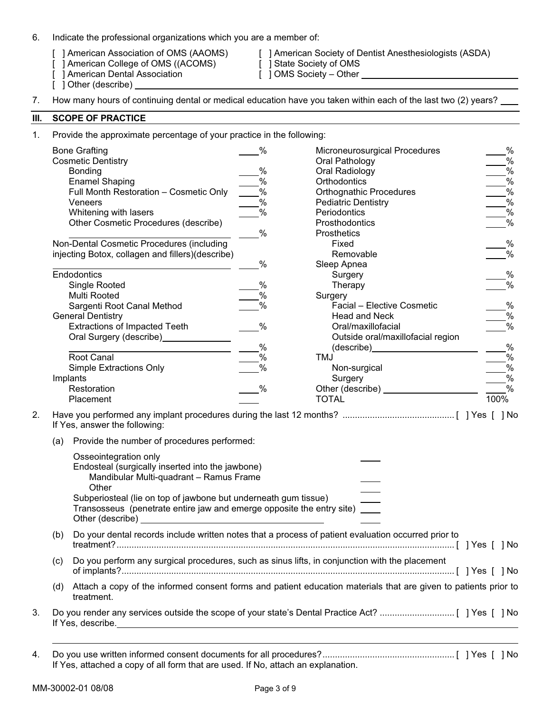- 6. Indicate the professional organizations which you are a member of:
	-
	- [ ] American College of OMS ((ACOMS) [ ] State Society of OMS
	- [ ] American Dental Association [ ] OMS Society Other
	- [ ] Other (describe) \_
	- [ ] American Association of OMS (AAOMS) [ ] American Society of Dentist Anesthesiologists (ASDA)
		-
- 7. How many hours of continuing dental or medical education have you taken within each of the last two (2) years?

### **III. SCOPE OF PRACTICE**

1. Provide the approximate percentage of your practice in the following:

| <b>Bone Grafting</b>                             | $\%$ | Microneurosurgical Procedures     | $\%$          |
|--------------------------------------------------|------|-----------------------------------|---------------|
| <b>Cosmetic Dentistry</b>                        |      | Oral Pathology                    | %             |
| <b>Bonding</b>                                   | $\%$ | Oral Radiology                    | $\%$          |
| <b>Enamel Shaping</b>                            | %    | Orthodontics                      | $\%$          |
| Full Month Restoration - Cosmetic Only           | %    | <b>Orthognathic Procedures</b>    | %             |
| Veneers                                          | %    | <b>Pediatric Dentistry</b>        | $\%$          |
| Whitening with lasers                            | $\%$ | Periodontics                      | %             |
| Other Cosmetic Procedures (describe)             |      | Prosthodontics                    | $\%$          |
|                                                  | %    | <b>Prosthetics</b>                |               |
| Non-Dental Cosmetic Procedures (including        |      | Fixed                             | %             |
| injecting Botox, collagen and fillers)(describe) |      | Removable                         | $\%$          |
|                                                  | $\%$ | Sleep Apnea                       |               |
| Endodontics                                      |      | Surgery                           | %             |
| Single Rooted                                    | %    | Therapy                           | $\%$          |
| Multi Rooted                                     | $\%$ | Surgery                           |               |
| Sargenti Root Canal Method                       | %    | Facial - Elective Cosmetic        | %             |
| <b>General Dentistry</b>                         |      | <b>Head and Neck</b>              | %             |
| <b>Extractions of Impacted Teeth</b>             | $\%$ | Oral/maxillofacial                | $\%$          |
| Oral Surgery (describe)                          |      | Outside oral/maxillofacial region |               |
|                                                  | $\%$ | (describe)                        | $\%$          |
| Root Canal                                       | $\%$ | TMJ                               | $\%$          |
| <b>Simple Extractions Only</b>                   | $\%$ | Non-surgical                      | %             |
| Implants                                         |      | Surgery                           | %             |
| Restoration                                      | %    | Other (describe)                  | $\frac{0}{0}$ |
| Placement                                        |      | TOTAL                             | 100%          |
|                                                  |      |                                   |               |

- 2. Have you performed any implant procedures during the last 12 months? ............................................. [ ] Yes [ ] No If Yes, answer the following:
	- (a) Provide the number of procedures performed:

|    |     | Osseointegration only<br>Endosteal (surgically inserted into the jawbone)<br>Mandibular Multi-quadrant - Ramus Frame<br>Other<br>Subperiosteal (lie on top of jawbone but underneath gum tissue)<br>Transosseus (penetrate entire jaw and emerge opposite the entry site) ____<br>Other (describe) |  |
|----|-----|----------------------------------------------------------------------------------------------------------------------------------------------------------------------------------------------------------------------------------------------------------------------------------------------------|--|
|    | (b) | Do your dental records include written notes that a process of patient evaluation occurred prior to                                                                                                                                                                                                |  |
|    | (C) | Do you perform any surgical procedures, such as sinus lifts, in conjunction with the placement                                                                                                                                                                                                     |  |
|    | (d) | Attach a copy of the informed consent forms and patient education materials that are given to patients prior to<br>treatment.                                                                                                                                                                      |  |
| 3. |     | If Yes, describe.                                                                                                                                                                                                                                                                                  |  |

4. Do you use written informed consent documents for all procedures? ..................................................... [ ] Yes [ ] No If Yes, attached a copy of all form that are used. If No, attach an explanation.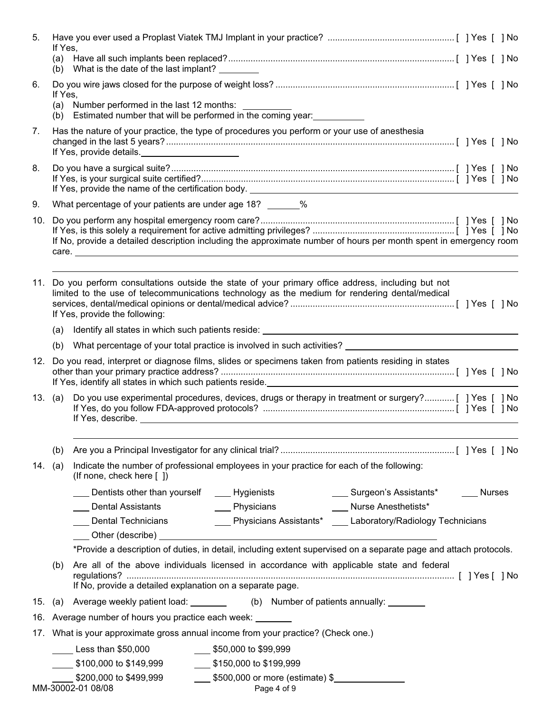| 5.  | If Yes,                                                                                                                                                                |                                                                                                      |                                                                                                                                                                                                        |                                                                                                                   |  |  |
|-----|------------------------------------------------------------------------------------------------------------------------------------------------------------------------|------------------------------------------------------------------------------------------------------|--------------------------------------------------------------------------------------------------------------------------------------------------------------------------------------------------------|-------------------------------------------------------------------------------------------------------------------|--|--|
|     |                                                                                                                                                                        | (b) What is the date of the last implant?                                                            |                                                                                                                                                                                                        |                                                                                                                   |  |  |
| 6.  | If Yes,                                                                                                                                                                |                                                                                                      |                                                                                                                                                                                                        |                                                                                                                   |  |  |
|     |                                                                                                                                                                        | (a) Number performed in the last 12 months: ________                                                 | (b) Estimated number that will be performed in the coming year:                                                                                                                                        |                                                                                                                   |  |  |
| 7.  |                                                                                                                                                                        | If Yes, provide details.                                                                             | Has the nature of your practice, the type of procedures you perform or your use of anesthesia                                                                                                          |                                                                                                                   |  |  |
| 8.  |                                                                                                                                                                        |                                                                                                      |                                                                                                                                                                                                        |                                                                                                                   |  |  |
| 9.  |                                                                                                                                                                        | What percentage of your patients are under age 18? ______%                                           |                                                                                                                                                                                                        |                                                                                                                   |  |  |
| 10. |                                                                                                                                                                        |                                                                                                      |                                                                                                                                                                                                        | If No, provide a detailed description including the approximate number of hours per month spent in emergency room |  |  |
|     |                                                                                                                                                                        | If Yes, provide the following:                                                                       | 11. Do you perform consultations outside the state of your primary office address, including but not<br>limited to the use of telecommunications technology as the medium for rendering dental/medical |                                                                                                                   |  |  |
|     | (a)                                                                                                                                                                    |                                                                                                      | Identify all states in which such patients reside: _____________________________                                                                                                                       |                                                                                                                   |  |  |
|     | (b)                                                                                                                                                                    |                                                                                                      | What percentage of your total practice is involved in such activities?                                                                                                                                 |                                                                                                                   |  |  |
|     | 12. Do you read, interpret or diagnose films, slides or specimens taken from patients residing in states<br>If Yes, identify all states in which such patients reside. |                                                                                                      |                                                                                                                                                                                                        |                                                                                                                   |  |  |
|     | 13. $(a)$                                                                                                                                                              | Do you use experimental procedures, devices, drugs or therapy in treatment or surgery?[ ] Yes [ ] No |                                                                                                                                                                                                        |                                                                                                                   |  |  |
|     | (b)                                                                                                                                                                    |                                                                                                      |                                                                                                                                                                                                        |                                                                                                                   |  |  |
| 14. | (a)                                                                                                                                                                    | (If none, check here $\lceil \ \rceil$ )                                                             | Indicate the number of professional employees in your practice for each of the following:                                                                                                              |                                                                                                                   |  |  |
|     |                                                                                                                                                                        | Dentists other than yourself _____ Hygienists                                                        |                                                                                                                                                                                                        | ____ Surgeon's Assistants* _____ Nurses                                                                           |  |  |
|     |                                                                                                                                                                        | <b>Dental Assistants</b>                                                                             | <b>Physicians</b>                                                                                                                                                                                      | Nurse Anesthetists*                                                                                               |  |  |
|     |                                                                                                                                                                        | Dental Technicians                                                                                   |                                                                                                                                                                                                        | ___ Physicians Assistants* ___ Laboratory/Radiology Technicians                                                   |  |  |
|     |                                                                                                                                                                        |                                                                                                      |                                                                                                                                                                                                        |                                                                                                                   |  |  |
|     |                                                                                                                                                                        |                                                                                                      |                                                                                                                                                                                                        | *Provide a description of duties, in detail, including extent supervised on a separate page and attach protocols. |  |  |
|     | (b)                                                                                                                                                                    | If No, provide a detailed explanation on a separate page.                                            | Are all of the above individuals licensed in accordance with applicable state and federal                                                                                                              |                                                                                                                   |  |  |
| 15. |                                                                                                                                                                        |                                                                                                      | (a) Average weekly patient load: _________ (b) Number of patients annually: ______                                                                                                                     |                                                                                                                   |  |  |
|     |                                                                                                                                                                        |                                                                                                      |                                                                                                                                                                                                        |                                                                                                                   |  |  |
|     |                                                                                                                                                                        | 16. Average number of hours you practice each week: _______                                          | 17. What is your approximate gross annual income from your practice? (Check one.)                                                                                                                      |                                                                                                                   |  |  |
|     |                                                                                                                                                                        |                                                                                                      |                                                                                                                                                                                                        |                                                                                                                   |  |  |
|     |                                                                                                                                                                        | $\rule{1em}{0.15mm}$ Less than \$50,000                                                              | $\frac{1}{2}$ \$50,000 to \$99,999                                                                                                                                                                     |                                                                                                                   |  |  |
|     |                                                                                                                                                                        | $$100,000$ to $$149,999$<br>\$200,000 to \$499,999                                                   | \$150,000 to \$199,999<br>5500,000 or more (estimate) \$                                                                                                                                               |                                                                                                                   |  |  |
|     |                                                                                                                                                                        | MM-30002-01 08/08                                                                                    | Page 4 of 9                                                                                                                                                                                            |                                                                                                                   |  |  |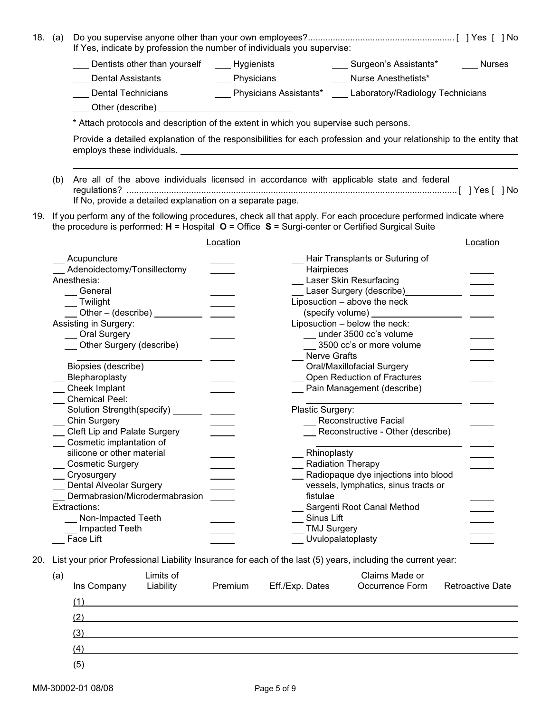|     | 18. $(a)$ | If Yes, indicate by profession the number of individuals you supervise:                                                                                                                                                         |                 |                    |                                                                                         |               |  |  |  |
|-----|-----------|---------------------------------------------------------------------------------------------------------------------------------------------------------------------------------------------------------------------------------|-----------------|--------------------|-----------------------------------------------------------------------------------------|---------------|--|--|--|
|     |           | Dentists other than yourself ______ Hygienists                                                                                                                                                                                  |                 |                    | ____ Surgeon's Assistants*                                                              | <b>Nurses</b> |  |  |  |
|     |           | <b>Dental Assistants</b>                                                                                                                                                                                                        | ____ Physicians |                    | <b>Nurse Anesthetists*</b>                                                              |               |  |  |  |
|     |           | Dental Technicians                                                                                                                                                                                                              |                 |                    | <b>EXECUTE:</b> Physicians Assistants* <b>EXECUTE:</b> Laboratory/Radiology Technicians |               |  |  |  |
|     |           | Other (describe) <b>COLOREY CONTROL</b>                                                                                                                                                                                         |                 |                    |                                                                                         |               |  |  |  |
|     |           |                                                                                                                                                                                                                                 |                 |                    |                                                                                         |               |  |  |  |
|     |           | * Attach protocols and description of the extent in which you supervise such persons.                                                                                                                                           |                 |                    |                                                                                         |               |  |  |  |
|     |           | Provide a detailed explanation of the responsibilities for each profession and your relationship to the entity that                                                                                                             |                 |                    |                                                                                         |               |  |  |  |
|     | (b)       | Are all of the above individuals licensed in accordance with applicable state and federal<br>If No, provide a detailed explanation on a separate page.                                                                          |                 |                    |                                                                                         |               |  |  |  |
|     |           | 19. If you perform any of the following procedures, check all that apply. For each procedure performed indicate where<br>the procedure is performed: $H =$ Hospital $O =$ Office $S =$ Surgi-center or Certified Surgical Suite |                 |                    |                                                                                         |               |  |  |  |
|     |           |                                                                                                                                                                                                                                 | Location        |                    |                                                                                         | Location      |  |  |  |
|     |           | Acupuncture                                                                                                                                                                                                                     |                 |                    | Hair Transplants or Suturing of                                                         |               |  |  |  |
|     |           | Adenoidectomy/Tonsillectomy                                                                                                                                                                                                     |                 | Hairpieces         |                                                                                         |               |  |  |  |
|     |           | Anesthesia:                                                                                                                                                                                                                     |                 |                    | <b>Laser Skin Resurfacing</b>                                                           |               |  |  |  |
|     |           | General                                                                                                                                                                                                                         |                 |                    | Laser Surgery (describe)                                                                |               |  |  |  |
|     |           | __ Twilight                                                                                                                                                                                                                     |                 |                    | Liposuction - above the neck                                                            |               |  |  |  |
|     |           | $\frac{1}{2}$ Other – (describe) $\frac{1}{2}$ $\frac{1}{2}$                                                                                                                                                                    |                 |                    |                                                                                         |               |  |  |  |
|     |           | Assisting in Surgery:                                                                                                                                                                                                           |                 |                    | Liposuction - below the neck:                                                           |               |  |  |  |
|     |           | <b>Oral Surgery</b>                                                                                                                                                                                                             |                 |                    | under 3500 cc's volume                                                                  |               |  |  |  |
|     |           | _ Other Surgery (describe)                                                                                                                                                                                                      |                 |                    | _3500 cc's or more volume                                                               |               |  |  |  |
|     |           |                                                                                                                                                                                                                                 |                 | Nerve Grafts       |                                                                                         |               |  |  |  |
|     |           |                                                                                                                                                                                                                                 |                 |                    | _ Oral/Maxillofacial Surgery                                                            |               |  |  |  |
|     |           | __ Blepharoplasty                                                                                                                                                                                                               |                 |                    | _ Open Reduction of Fractures                                                           |               |  |  |  |
|     |           | __ Cheek Implant                                                                                                                                                                                                                |                 |                    | Pain Management (describe)                                                              |               |  |  |  |
|     |           | <b>Chemical Peel:</b>                                                                                                                                                                                                           |                 |                    |                                                                                         |               |  |  |  |
|     |           | Solution Strength(specify) ________ ______                                                                                                                                                                                      |                 | Plastic Surgery:   | <b>Reconstructive Facial</b>                                                            |               |  |  |  |
|     |           | <b>Chin Surgery</b><br>Cleft Lip and Palate Surgery                                                                                                                                                                             |                 |                    |                                                                                         |               |  |  |  |
|     |           | Cosmetic implantation of                                                                                                                                                                                                        |                 |                    | Reconstructive - Other (describe)                                                       |               |  |  |  |
|     |           | silicone or other material                                                                                                                                                                                                      |                 | Rhinoplasty        |                                                                                         |               |  |  |  |
|     |           | <b>Cosmetic Surgery</b>                                                                                                                                                                                                         |                 |                    | <b>Radiation Therapy</b>                                                                |               |  |  |  |
|     |           | Cryosurgery                                                                                                                                                                                                                     |                 |                    | Radiopaque dye injections into blood                                                    |               |  |  |  |
|     |           | Dental Alveolar Surgery                                                                                                                                                                                                         |                 |                    | vessels, lymphatics, sinus tracts or                                                    |               |  |  |  |
|     |           | Dermabrasion/Microdermabrasion                                                                                                                                                                                                  |                 | fistulae           |                                                                                         |               |  |  |  |
|     |           | Extractions:                                                                                                                                                                                                                    |                 |                    | Sargenti Root Canal Method                                                              |               |  |  |  |
|     |           | Non-Impacted Teeth                                                                                                                                                                                                              |                 | Sinus Lift         |                                                                                         |               |  |  |  |
|     |           | Impacted Teeth                                                                                                                                                                                                                  |                 | <b>TMJ Surgery</b> |                                                                                         |               |  |  |  |
|     |           | Face Lift                                                                                                                                                                                                                       |                 |                    | Uvulopalatoplasty                                                                       |               |  |  |  |
| 20. |           | List your prior Professional Liability Insurance for each of the last (5) years, including the current year:                                                                                                                    |                 |                    |                                                                                         |               |  |  |  |
|     | (a)       | Limits of                                                                                                                                                                                                                       |                 |                    | Claims Made or                                                                          |               |  |  |  |

| Ins Company | Liability                                                   | Premium | Eff./Exp. Dates | Occurrence Form | <b>Retroactive Date</b> |
|-------------|-------------------------------------------------------------|---------|-----------------|-----------------|-------------------------|
|             |                                                             |         |                 |                 |                         |
| (2)         |                                                             |         |                 |                 |                         |
| (3)         | <u> 1980 - Andrea Britain, amerikan personal (h. 1980).</u> |         |                 |                 |                         |
| (4)         |                                                             |         |                 |                 |                         |
| (5)         |                                                             |         |                 |                 |                         |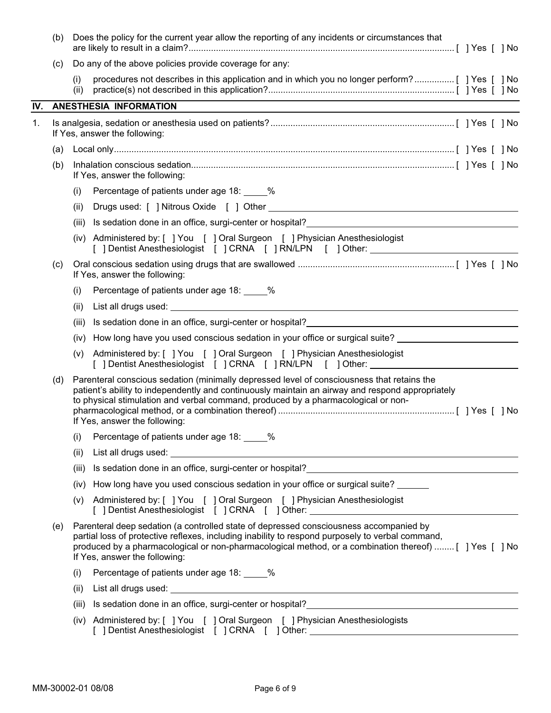|     | (b) |                               | Does the policy for the current year allow the reporting of any incidents or circumstances that                                                                                                                                                                                                      |  |
|-----|-----|-------------------------------|------------------------------------------------------------------------------------------------------------------------------------------------------------------------------------------------------------------------------------------------------------------------------------------------------|--|
|     | (c) |                               | Do any of the above policies provide coverage for any:                                                                                                                                                                                                                                               |  |
|     |     | (i)<br>(ii)                   |                                                                                                                                                                                                                                                                                                      |  |
| IV. |     | <b>ANESTHESIA INFORMATION</b> |                                                                                                                                                                                                                                                                                                      |  |
| 1.  |     | If Yes, answer the following: |                                                                                                                                                                                                                                                                                                      |  |
|     |     |                               |                                                                                                                                                                                                                                                                                                      |  |
|     | (b) | If Yes, answer the following: |                                                                                                                                                                                                                                                                                                      |  |
|     |     | (i)                           | Percentage of patients under age 18: _____%                                                                                                                                                                                                                                                          |  |
|     |     | (ii)                          |                                                                                                                                                                                                                                                                                                      |  |
|     |     | (iii)                         |                                                                                                                                                                                                                                                                                                      |  |
|     |     |                               | (iv) Administered by: [ ] You [ ] Oral Surgeon [ ] Physician Anesthesiologist<br>[ ] Dentist Anesthesiologist [ ] CRNA [ ] RN/LPN [ ] Other: ____________________                                                                                                                                    |  |
|     | (c) | If Yes, answer the following: |                                                                                                                                                                                                                                                                                                      |  |
|     |     | (i)                           | Percentage of patients under age 18: _____%                                                                                                                                                                                                                                                          |  |
|     |     | (ii)                          |                                                                                                                                                                                                                                                                                                      |  |
|     |     | (iii)                         | Is sedation done in an office, surgi-center or hospital?<br><u>Letter and the contract of the contract of the set of the contract of the set of the contract of the set of the set of the set of the set of the set of the set of </u>                                                               |  |
|     |     | (iv)                          | How long have you used conscious sedation in your office or surgical suite?                                                                                                                                                                                                                          |  |
|     |     | (v)                           | Administered by: [ ] You [ ] Oral Surgeon [ ] Physician Anesthesiologist<br>[ ] Dentist Anesthesiologist [ ] CRNA [ ] RN/LPN [ ]Other: _____________________                                                                                                                                         |  |
|     | (d) | If Yes, answer the following: | Parenteral conscious sedation (minimally depressed level of consciousness that retains the<br>patient's ability to independently and continuously maintain an airway and respond appropriately<br>to physical stimulation and verbal command, produced by a pharmacological or non-                  |  |
|     |     |                               | (i) Percentage of patients under age 18: ____%                                                                                                                                                                                                                                                       |  |
|     |     | (ii)                          |                                                                                                                                                                                                                                                                                                      |  |
|     |     | (iii)                         |                                                                                                                                                                                                                                                                                                      |  |
|     |     |                               | (iv) How long have you used conscious sedation in your office or surgical suite?                                                                                                                                                                                                                     |  |
|     |     |                               | (v) Administered by: [ ] You [ ] Oral Surgeon [ ] Physician Anesthesiologist<br>[ ] Dentist Anesthesiologist [ ] CRNA [ ] Other: _______________________________                                                                                                                                     |  |
|     | (e) | If Yes, answer the following: | Parenteral deep sedation (a controlled state of depressed consciousness accompanied by<br>partial loss of protective reflexes, including inability to respond purposely to verbal command,<br>produced by a pharmacological or non-pharmacological method, or a combination thereof)  [ ] Yes [ ] No |  |
|     |     | (i)                           | Percentage of patients under age 18: _____%                                                                                                                                                                                                                                                          |  |
|     |     | (ii)                          |                                                                                                                                                                                                                                                                                                      |  |
|     |     | (iii)                         | Is sedation done in an office, surgi-center or hospital?<br>In the second proportion of the set of the set of the set of the set of the set of the set of the set of the s                                                                                                                           |  |
|     |     |                               | (iv) Administered by: [ ] You [ ] Oral Surgeon [ ] Physician Anesthesiologists<br>[ ] Dentist Anesthesiologist [ ] CRNA [ ] Other: _______________________________                                                                                                                                   |  |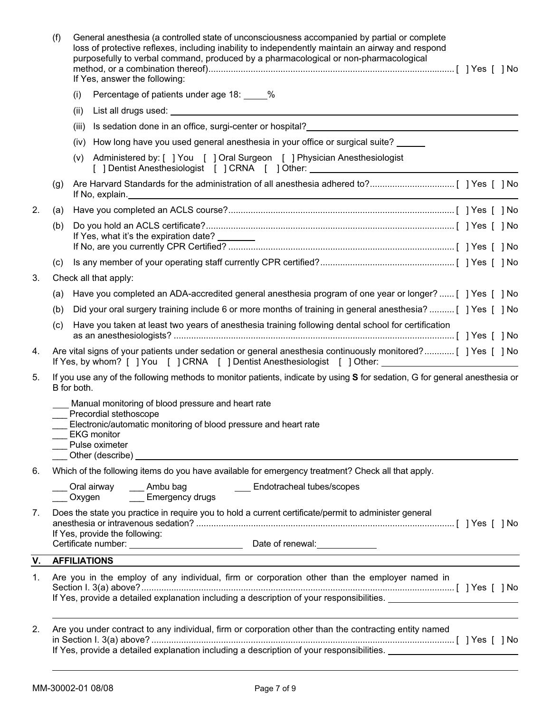|    | (f) | General anesthesia (a controlled state of unconsciousness accompanied by partial or complete<br>loss of protective reflexes, including inability to independently maintain an airway and respond<br>purposefully to verbal command, produced by a pharmacological or non-pharmacological<br>If Yes, answer the following: |
|----|-----|---------------------------------------------------------------------------------------------------------------------------------------------------------------------------------------------------------------------------------------------------------------------------------------------------------------------------|
|    |     | Percentage of patients under age 18: ____%<br>(i)                                                                                                                                                                                                                                                                         |
|    |     | (ii)                                                                                                                                                                                                                                                                                                                      |
|    |     | Is sedation done in an office, surgi-center or hospital?<br>Surgical contracts and the set of the set of the set of the set of the set of the set of the set of the set o<br>(iii)                                                                                                                                        |
|    |     | How long have you used general anesthesia in your office or surgical suite?<br>(iv)                                                                                                                                                                                                                                       |
|    |     | Administered by: [ ] You [ ] Oral Surgeon [ ] Physician Anesthesiologist<br>(v)<br>[ ] Dentist Anesthesiologist [ ] CRNA [ ] Other: _______________________________                                                                                                                                                       |
|    | (g) |                                                                                                                                                                                                                                                                                                                           |
| 2. | (a) |                                                                                                                                                                                                                                                                                                                           |
|    | (b) | If Yes, what it's the expiration date? _______                                                                                                                                                                                                                                                                            |
|    | (C) |                                                                                                                                                                                                                                                                                                                           |
| 3. |     | Check all that apply:                                                                                                                                                                                                                                                                                                     |
|    | (a) | Have you completed an ADA-accredited general anesthesia program of one year or longer? [ ] Yes [ ] No                                                                                                                                                                                                                     |
|    | (b) | Did your oral surgery training include 6 or more months of training in general anesthesia? [ ] Yes [ ] No                                                                                                                                                                                                                 |
|    | (c) | Have you taken at least two years of anesthesia training following dental school for certification                                                                                                                                                                                                                        |
| 4. |     | Are vital signs of your patients under sedation or general anesthesia continuously monitored? [ ] Yes [ ] No<br>If Yes, by whom? [ ] You [ ] CRNA [ ] Dentist Anesthesiologist [ ] Other: _________________________                                                                                                       |
| 5. |     | If you use any of the following methods to monitor patients, indicate by using S for sedation, G for general anesthesia or<br>B for both.                                                                                                                                                                                 |
|    |     | Manual monitoring of blood pressure and heart rate<br>Precordial stethoscope<br>Electronic/automatic monitoring of blood pressure and heart rate<br>EKG monitor<br>Pulse oximeter<br>Other (describe)                                                                                                                     |
| 6. |     | Which of the following items do you have available for emergency treatment? Check all that apply.                                                                                                                                                                                                                         |
|    |     | _ Oral airway   ___ Ambu bag        ___ Endotracheal tubes/scopes<br>__ Oxygen _____ Emergency drugs                                                                                                                                                                                                                      |
| 7. |     | Does the state you practice in require you to hold a current certificate/permit to administer general<br>If Yes, provide the following:                                                                                                                                                                                   |
| V. |     | <u> 1980 - Jan Sterlinger van die Sterlingen van die Sterlingen van die Sterlingen van die Sterlingen van die Ste</u><br><b>AFFILIATIONS</b>                                                                                                                                                                              |
| 1. |     | Are you in the employ of any individual, firm or corporation other than the employer named in<br>If Yes, provide a detailed explanation including a description of your responsibilities. _____________________                                                                                                           |
| 2. |     | Are you under contract to any individual, firm or corporation other than the contracting entity named<br>If Yes, provide a detailed explanation including a description of your responsibilities. _____________________                                                                                                   |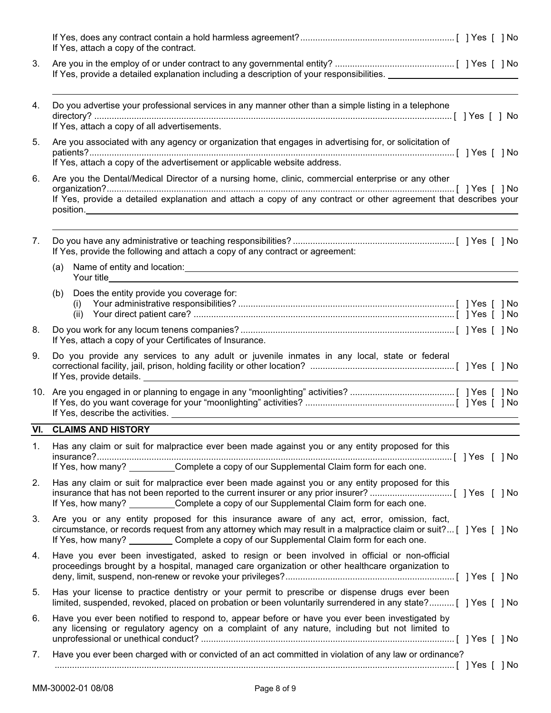|    | If Yes, attach a copy of the contract.                                                                                                                                                                                                                                                                                              |
|----|-------------------------------------------------------------------------------------------------------------------------------------------------------------------------------------------------------------------------------------------------------------------------------------------------------------------------------------|
| 3. | If Yes, provide a detailed explanation including a description of your responsibilities.                                                                                                                                                                                                                                            |
| 4. | Do you advertise your professional services in any manner other than a simple listing in a telephone<br>If Yes, attach a copy of all advertisements.                                                                                                                                                                                |
| 5. | Are you associated with any agency or organization that engages in advertising for, or solicitation of<br>If Yes, attach a copy of the advertisement or applicable website address.                                                                                                                                                 |
| 6. | Are you the Dental/Medical Director of a nursing home, clinic, commercial enterprise or any other<br>If Yes, provide a detailed explanation and attach a copy of any contract or other agreement that describes your<br>position.                                                                                                   |
| 7. | If Yes, provide the following and attach a copy of any contract or agreement:<br>Name of entity and location: example and the state of the state of the state of the state of the state of the state of the state of the state of the state of the state of the state of the state of the state of the state of<br>(a)              |
|    | Does the entity provide you coverage for:<br>(b)<br>(i)<br>(ii)                                                                                                                                                                                                                                                                     |
| 8. | If Yes, attach a copy of your Certificates of Insurance.                                                                                                                                                                                                                                                                            |
| 9. | Do you provide any services to any adult or juvenile inmates in any local, state or federal<br>If Yes, provide details. <u>The contract of the contract of the contract of the contract of the contract of the contract of the contract of the contract of the contract of the contract of the contract of the contract of the </u> |
|    |                                                                                                                                                                                                                                                                                                                                     |
|    | <b>VI. CLAIMS AND HISTORY</b>                                                                                                                                                                                                                                                                                                       |
| 1. | Has any claim or suit for malpractice ever been made against you or any entity proposed for this<br>If Yes, how many? Complete a copy of our Supplemental Claim form for each one.                                                                                                                                                  |
| 2. | Has any claim or suit for malpractice ever been made against you or any entity proposed for this<br>If Yes, how many? Complete a copy of our Supplemental Claim form for each one.                                                                                                                                                  |
| 3. | Are you or any entity proposed for this insurance aware of any act, error, omission, fact,<br>circumstance, or records request from any attorney which may result in a malpractice claim or suit? [ ] Yes [ ] No<br>If Yes, how many? ___________ Complete a copy of our Supplemental Claim form for each one.                      |
| 4. | Have you ever been investigated, asked to resign or been involved in official or non-official<br>proceedings brought by a hospital, managed care organization or other healthcare organization to                                                                                                                                   |
| 5. | Has your license to practice dentistry or your permit to prescribe or dispense drugs ever been<br>limited, suspended, revoked, placed on probation or been voluntarily surrendered in any state? [ ] Yes [ ] No                                                                                                                     |
| 6. | Have you ever been notified to respond to, appear before or have you ever been investigated by<br>any licensing or regulatory agency on a complaint of any nature, including but not limited to                                                                                                                                     |
| 7. | Have you ever been charged with or convicted of an act committed in violation of any law or ordinance?                                                                                                                                                                                                                              |